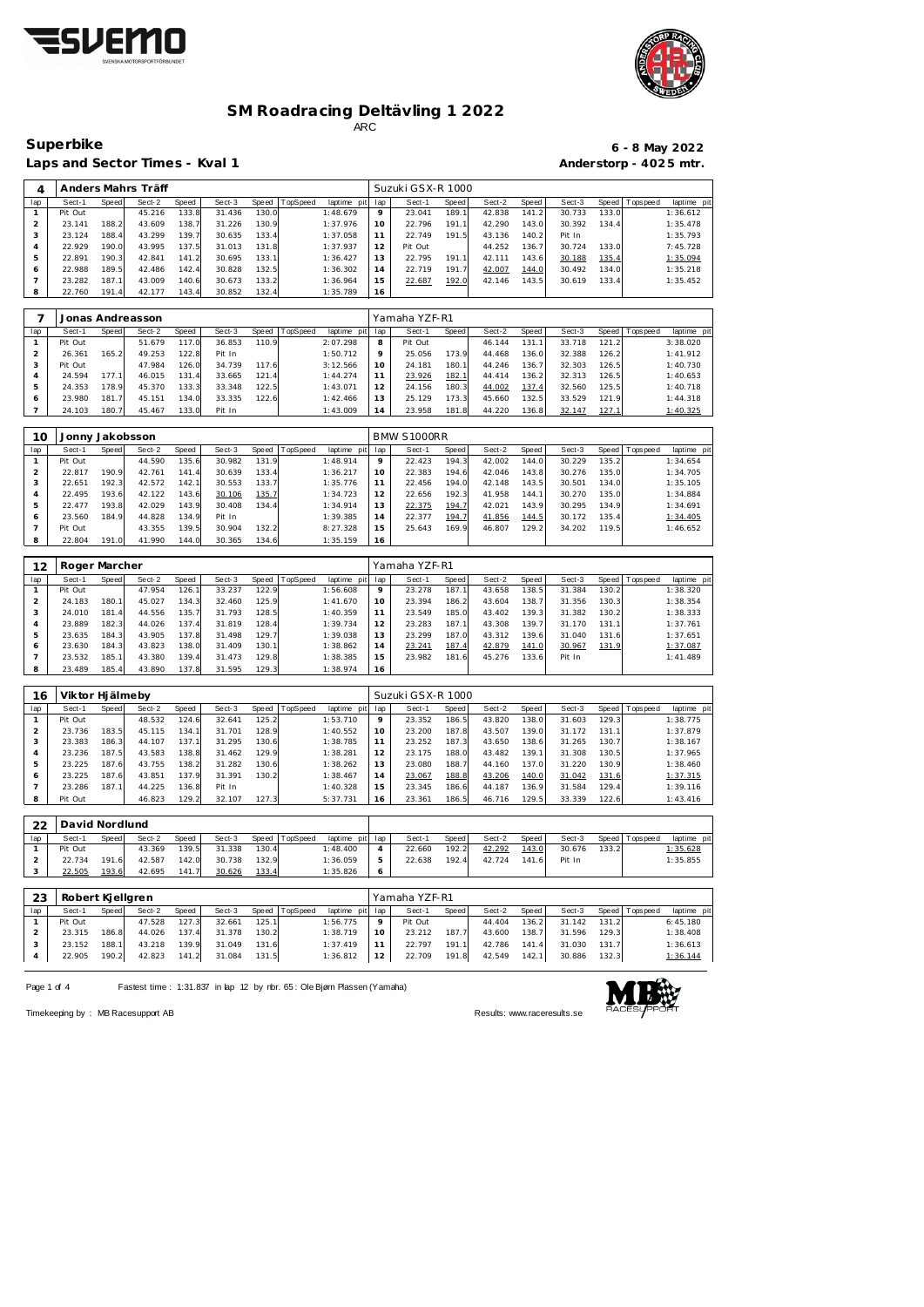



 $Superbike$ 

Laps and Sector Times - Kval 1

|                        |  | $6 - 8$ May 2022 |
|------------------------|--|------------------|
| Anderstorp - 4025 mtr. |  |                  |

| 4              |                 |       | Anders Mahrs Träff |       |        |       |          |             |     | Suzuki GSX-R 1000 |       |        |       |        |       |           |             |
|----------------|-----------------|-------|--------------------|-------|--------|-------|----------|-------------|-----|-------------------|-------|--------|-------|--------|-------|-----------|-------------|
| lap            | Sect-1          | Speed | Sect-2             | Speed | Sect-3 | Speed | TopSpeed | laptime pit | lap | Sect-1            | Speed | Sect-2 | Speed | Sect-3 | Speed | Tops peed | laptime pit |
| $\mathbf{1}$   | Pit Out         |       | 45.216             | 133.8 | 31.436 | 130.0 |          | 1:48.679    | 9   | 23.041            | 189.1 | 42.838 | 141.2 | 30.733 | 133.0 |           | 1:36.612    |
| $\overline{2}$ | 23.141          | 188.2 | 43.609             | 138.7 | 31.226 | 130.9 |          | 1:37.976    | 10  | 22.796            | 191.1 | 42.290 | 143.0 | 30.392 | 134.4 |           | 1:35.478    |
| 3              | 23.124          | 188.4 | 43.299             | 139.7 | 30.635 | 133.4 |          | 1:37.058    | 11  | 22.749            | 191.5 | 43.136 | 140.2 | Pit In |       |           | 1:35.793    |
| $\overline{4}$ | 22.929          | 190.0 | 43.995             | 137.5 | 31.013 | 131.8 |          | 1:37.937    | 12  | Pit Out           |       | 44.252 | 136.7 | 30.724 | 133.0 |           | 7:45.728    |
| 5              | 22.891          | 190.3 | 42.841             | 141.2 | 30.695 | 133.1 |          | 1:36.427    | 13  | 22.795            | 191.1 | 42.111 | 143.6 | 30.188 | 135.4 |           | 1:35.094    |
| 6              | 22.988          | 189.5 | 42.486             | 142.4 | 30.828 | 132.5 |          | 1:36.302    | 14  | 22.719            | 191.7 | 42.007 | 144.0 | 30.492 | 134.0 |           | 1:35.218    |
| $\overline{7}$ | 23.282          | 187.1 | 43.009             | 140.6 | 30.673 | 133.2 |          | 1:36.964    | 15  | 22.687            | 192.0 | 42.146 | 143.5 | 30.619 | 133.4 |           | 1:35.452    |
| 8              | 22.760          | 191.4 | 42.177             | 143.4 | 30.852 | 132.4 |          | 1:35.789    | 16  |                   |       |        |       |        |       |           |             |
|                |                 |       |                    |       |        |       |          |             |     |                   |       |        |       |        |       |           |             |
| 7              |                 |       | Jonas Andreasson   |       |        |       |          |             |     | Yamaha YZF-R1     |       |        |       |        |       |           |             |
| lap            | Sect-1          | Speed | Sect-2             | Speed | Sect-3 | Speed | TopSpeed | laptime pit | lap | Sect-1            | Speed | Sect-2 | Speed | Sect-3 | Speed | Tops peed | laptime pit |
| $\mathbf{1}$   | Pit Out         |       | 51.679             | 117.0 | 36.853 | 110.9 |          | 2:07.298    | 8   | Pit Out           |       | 46.144 | 131.1 | 33.718 | 121.2 |           | 3:38.020    |
| $\overline{2}$ | 26.361          | 165.2 | 49.253             | 122.8 | Pit In |       |          | 1:50.712    | 9   | 25.056            | 173.9 | 44.468 | 136.0 | 32.388 | 126.2 |           | 1:41.912    |
| 3              | Pit Out         |       | 47.984             | 126.0 | 34.739 | 117.6 |          | 3:12.566    | 10  | 24.181            | 180.1 | 44.246 | 136.7 | 32.303 | 126.5 |           | 1:40.730    |
| $\overline{4}$ | 24.594          | 177.1 | 46.015             | 131.4 | 33.665 | 121.4 |          | 1:44.274    | 11  | 23.926            | 182.1 | 44.414 | 136.2 | 32.313 | 126.5 |           | 1:40.653    |
| 5              | 24.353          | 178.9 | 45.370             | 133.3 | 33.348 | 122.5 |          | 1:43.071    | 12  | 24.156            | 180.3 | 44.002 | 137.4 | 32.560 | 125.5 |           | 1:40.718    |
| 6              | 23.980          | 181.7 | 45.151             | 134.0 | 33.335 | 122.6 |          | 1:42.466    | 13  | 25.129            | 173.3 | 45.660 | 132.5 | 33.529 | 121.9 |           | 1:44.318    |
| $\overline{7}$ | 24.103          | 180.7 | 45.467             | 133.0 | Pit In |       |          | 1:43.009    | 14  | 23.958            | 181.8 | 44.220 | 136.8 | 32.147 | 127.1 |           | 1:40.325    |
|                |                 |       |                    |       |        |       |          |             |     |                   |       |        |       |        |       |           |             |
| 10             | Jonny Jakobsson |       |                    |       |        |       |          |             |     | BMW S1000RR       |       |        |       |        |       |           |             |
| lap            | Sect-1          | Speed | Sect-2             | Speed | Sect-3 | Speed | TopSpeed | laptime pit | lap | Sect-1            | Speed | Sect-2 | Speed | Sect-3 | Speed | Tops peed | laptime pit |
| $\mathbf{1}$   | Pit Out         |       | 44.590             | 135.6 | 30.982 | 131.9 |          | 1:48.914    | 9   | 22.423            | 194.3 | 42.002 | 144.0 | 30.229 | 135.2 |           | 1:34.654    |
| 2              | 22.817          | 190.9 | 42.761             | 141.4 | 30.639 | 133.4 |          | 1:36.217    | 10  | 22.383            | 194.6 | 42.046 | 143.8 | 30.276 | 135.0 |           | 1:34.705    |
| 3              | 22.651          | 192.3 | 42.572             | 142.1 | 30.553 | 133.7 |          | 1:35.776    | 11  | 22.456            | 194.0 | 42.148 | 143.5 | 30.501 | 134.0 |           | 1:35.105    |
| $\overline{4}$ | 22.495          | 193.6 | 42.122             | 143.6 | 30.106 | 135.7 |          | 1:34.723    | 12  | 22.656            | 192.3 | 41.958 | 144.1 | 30.270 | 135.0 |           | 1:34.884    |
| 5              | 22.477          | 193.8 | 42.029             | 143.9 | 30.408 | 134.4 |          | 1:34.914    | 13  | 22.375            | 194.7 | 42.021 | 143.9 | 30.295 | 134.9 |           | 1:34.691    |
| 6              | 23.560          | 184.9 | 44.828             | 134.9 | Pit In |       |          | 1:39.385    | 14  | 22.377            | 194.7 | 41.856 | 144.5 | 30.172 | 135.4 |           | 1:34.405    |
| $\overline{7}$ | Pit Out         |       | 43.355             | 139.5 | 30.904 | 132.2 |          | 8:27.328    | 15  | 25.643            | 169.9 | 46.807 | 129.2 | 34.202 | 119.5 |           | 1:46.652    |
| 8              | 22.804          | 191.0 | 41.990             | 144.0 | 30.365 | 134.6 |          | 1:35.159    | 16  |                   |       |        |       |        |       |           |             |
|                |                 |       |                    |       |        |       |          |             |     |                   |       |        |       |        |       |           |             |
| 12             | Roger Marcher   |       |                    |       |        |       |          |             |     | Yamaha YZF-R1     |       |        |       |        |       |           |             |

| 12  | Roger Marcher |       |        |       |        |                    |          |             |     | Yamana YZF-RT |       |        |        |        |       |                 |            |
|-----|---------------|-------|--------|-------|--------|--------------------|----------|-------------|-----|---------------|-------|--------|--------|--------|-------|-----------------|------------|
| lap | Sect-1        | Speed | Sect-2 | Speed | Sect-3 | Speed              | TopSpeed | laptime pit | lap | Sect-1        | Speed | Sect-2 | Speed  | Sect-3 |       | Speed Tops peed | laptime pi |
|     | Pit Out       |       | 47.954 | 126.1 | 33.237 | 122.9              |          | 1:56.608    |     | 23.278        | 187.1 | 43.658 | 138.5  | 31.384 | 130.2 |                 | 1:38.320   |
|     | 24.183        | 180.1 | 45.027 | 134.3 | 32.460 | 125.9              |          | 1:41.670    | 10  | 23.394        | 186.2 | 43.604 | 138.7  | 31.356 | 130.3 |                 | 1:38.354   |
|     | 24.010        | 181.4 | 44.556 | 135.7 | 31.793 | 128.5              |          | 1:40.359    |     | 23.549        | 185.0 | 43.402 | 139.3  | 31.382 | 130.2 |                 | 1:38.333   |
|     | 23.889        | 182.3 | 44.026 | 137.4 | 31.819 | 128.4              |          | 1:39.734    | 12  | 23.283        | 187.1 | 43.308 | 139.7  | 31.170 | 131.1 |                 | 1:37.761   |
|     | 23.635        | 184.3 | 43.905 | 137.8 | 31.498 | 129.7              |          | 1:39.038    | 13  | 23.299        | 187.0 | 43.312 | 139.61 | 31.040 | 131.6 |                 | 1:37.651   |
| 6   | 23.630        | 184.3 | 43.823 | 138.0 | 31.409 | 130.1 <sub>1</sub> |          | 1:38.862    | 14  | 23.241        | 187.4 | 42.879 | 141.0  | 30.967 | 131.9 |                 | 1:37.087   |
|     | 23.532        | 185.1 | 43.380 | 139.4 | 31.473 | 129.8              |          | 1:38.385    | 15  | 23.982        | 181.6 | 45.276 | 133.6  | Pit In |       |                 | 1:41.489   |
|     | 23.489        | 185.4 | 43.890 | 137.8 | 31.595 | 129.3              |          | 1:38.974    | 16  |               |       |        |        |        |       |                 |            |

| 16  | Viktor Hjälmeby |       |        |       |        |       |          |             |     | Suzuki GSX-R 1000 |       |        |       |        |        |                 |             |
|-----|-----------------|-------|--------|-------|--------|-------|----------|-------------|-----|-------------------|-------|--------|-------|--------|--------|-----------------|-------------|
| lap | Sect-1          | Speed | Sect-2 | Speed | Sect-3 | Speed | TopSpeed | laptime pit | lap | Sect-1            | Speed | Sect-2 | Speed | Sect-3 |        | Speed Tops peed | laptime pit |
|     | Pit Out         |       | 48.532 | 124.6 | 32.641 | 125.2 |          | 1:53.710    | 9   | 23.352            | 186.5 | 43.820 | 138.0 | 31.603 | 129.3  |                 | 1:38.775    |
|     | 23.736          | 183.5 | 45.115 | 134.1 | 31.701 | 128.9 |          | 1:40.552    | 10  | 23.200            | 187.8 | 43.507 | 139.0 | 31.172 | 131.11 |                 | 1:37.879    |
|     | 23.383          | 186.3 | 44.107 | 137.1 | 31.295 | 130.6 |          | 1:38.785    | 11  | 23.252            | 187.3 | 43.650 | 138.6 | 31.265 | 130.7  |                 | 1:38.167    |
| 4   | 23.236          | 187.5 | 43.583 | 138.8 | 31.462 | 129.9 |          | 1:38.281    | 12  | 23.175            | 188.0 | 43.482 | 139.1 | 31.308 | 130.5  |                 | 1:37.965    |
| 5   | 23.225          | 187.6 | 43.755 | 138.2 | 31.282 | 130.6 |          | 1:38.262    | 13  | 23.080            | 188.7 | 44.160 | 137.0 | 31.220 | 130.9  |                 | 1:38.460    |
| 6   | 23.225          | 187.6 | 43.851 | 137.9 | 31.391 | 130.2 |          | 1:38.467    | 14  | 23.067            | 188.8 | 43.206 | 140.0 | 31.042 | 131.6  |                 | 1:37.315    |
|     | 23.286          | 187.1 | 44.225 | 136.8 | Pit In |       |          | 1:40.328    | 15  | 23.345            | 186.6 | 44.187 | 136.9 | 31.584 | 129.4  |                 | 1:39.116    |
| 8   | Pit Out         |       | 46.823 | 129.2 | 32.107 | 127.3 |          | 5:37.731    | 16  | 23.361            | 186.5 | 46.716 | 129.5 | 33.339 | 122.6  |                 | 1:43.416    |

| つつ  | David Nordlund |       |        |       |        |       |          |                 |         |        |       |        |       |        |       |                 |             |
|-----|----------------|-------|--------|-------|--------|-------|----------|-----------------|---------|--------|-------|--------|-------|--------|-------|-----------------|-------------|
| lap | Sect-1         | Speed | Sect-2 | Speed | Sect-3 | Speed | TopSpeed | laptime pit lap |         | Sect-  | Speed | Sect-2 | Speed | Sect-3 |       | Speed Tops peed | laptime pit |
|     | Pit Out        |       | 43.369 | 139.5 | 31.338 | 130.4 |          | 1:48.400        |         | 22.660 | 192.2 | 42.292 | 143.0 | 30.676 | 133.2 |                 | 1:35.628    |
|     | 22.734         | 191   | 42.587 | 142.0 | 30.738 | 132.9 |          | 1:36.059        | 5       | 22.638 | 192.4 | 42.724 | 141.6 | Pit In |       |                 | 1:35.855    |
|     | 22.505         | 193.6 | 42.695 | 141.7 | 30.626 | 133.4 |          | 1:35.826        | $\circ$ |        |       |        |       |        |       |                 |             |

| 23  | Robert Kjellgren |       |        |       |        |       |                |                 |          | Yamaha YZF-R1 |       |        |       |        |       |                   |             |
|-----|------------------|-------|--------|-------|--------|-------|----------------|-----------------|----------|---------------|-------|--------|-------|--------|-------|-------------------|-------------|
| lap | Sect-1           | Speed | Sect-2 | Speed | Sect-3 |       | Speed TopSpeed | laptime pit lap |          | Sect-1        | Speed | Sect-2 | Speed | Sect-3 |       | Speed   Tops peed | laptime pit |
|     | Pit Out          |       | 47.528 | 127.3 | 32.661 | 125.1 |                | 1:56.775        | $\circ$  | Pit Out       |       | 44.404 | 136.2 | 31.142 | 131.2 |                   | 6:45.180    |
|     | 23.315           | 186.8 | 44.026 | 137.4 | 31.378 | 130.2 |                | 1:38.719        | $10^{-}$ | 23.212        | 187.7 | 43.600 | 138.7 | 31.596 | 129.3 |                   | 1:38.408    |
|     | 23.152           | 188.1 | 43.218 | 139.9 | 31.049 | 131.6 |                | 1:37.419        |          | 22.797        | 191.1 | 42.786 | 141.4 | 31.030 | 131.7 |                   | 1:36.613    |
|     | 22.905           | 190.2 | 42.823 | 141.2 | 31.084 | 131.5 |                | 1:36.812        | 12       | 22.709        | 191.8 | 42.549 | 142.1 | 30.886 | 132.3 |                   | 1:36.144    |

Page 1 of 4 Fastest time : 1:31.837 in lap 12 by rbr. 65 : Ole Bjørn Plassen (Yamaha)



Timekeeping by : MB Racesupport AB Results:<www.raceresults.se>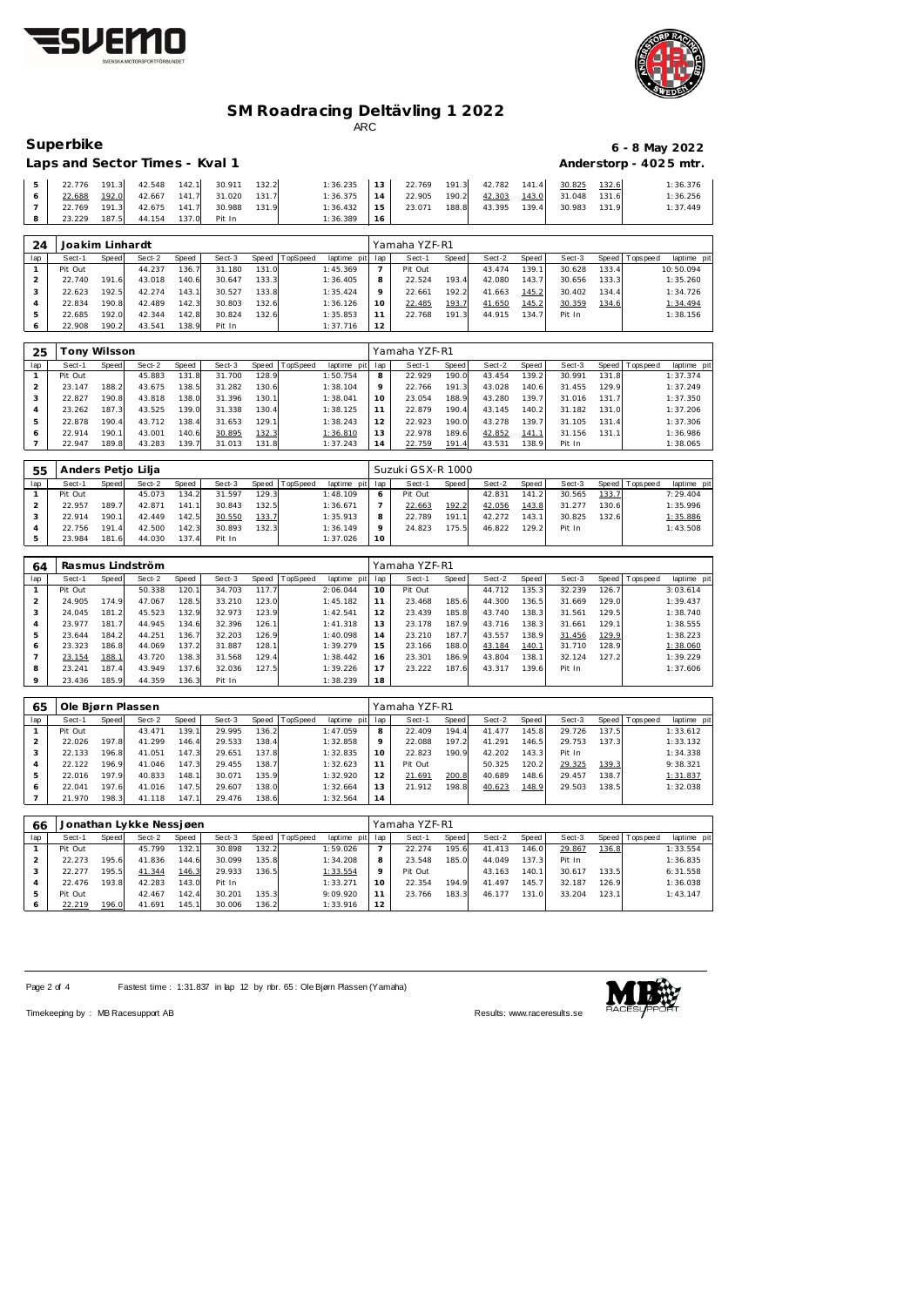



| Superbike                      | 6 - 8 May 2022         |
|--------------------------------|------------------------|
| Laps and Sector Times - Kyal 1 | Anderstorp - 4025 mtr. |

|       | Laps and Sector Times - Kval 1 |       |                                 |       |              |       |                                                      |    |        |       |              |       |        |       | Anderstorp - 4025 mtr. |
|-------|--------------------------------|-------|---------------------------------|-------|--------------|-------|------------------------------------------------------|----|--------|-------|--------------|-------|--------|-------|------------------------|
| $5 -$ | 22.776                         |       | 191.3 42.548 142.1 30.911 132.2 |       |              |       | $1:36.235$ 13 22.769 191.3 42.782 141.4 30.825 132.6 |    |        |       |              |       |        |       | 1:36.376               |
|       | 22.688                         | 192.0 | 42.667                          |       | 141.7 31.020 | 131.7 | 1:36.375                                             | 14 | 22.905 | 190.2 | 42.303       | 143.0 | 31.048 | 131.6 | 1:36.256               |
|       | 22.769                         | 191.3 | 42.675 141.7                    |       | 30.988       | 131.9 | $1:36.432$ 15                                        |    | 23.071 | 188.8 | 43.395 139.4 |       | 30.983 | 131.9 | 1:37.449               |
|       | 23.229                         | 187.5 | 44.154                          | 137.0 | Pit In       |       | 1:36.389                                             | 16 |        |       |              |       |        |       |                        |

| 24  | Joakim Linhardt |       |        |       |        |       |          |             |     | Yamaha YZF-R1 |       |        |        |        |       |                 |             |
|-----|-----------------|-------|--------|-------|--------|-------|----------|-------------|-----|---------------|-------|--------|--------|--------|-------|-----------------|-------------|
| lap | Sect-1          | Speed | Sect-2 | Speed | Sect-3 | Speed | TopSpeed | laptime pit | lap | Sect-1        | Speed | Sect-2 | Speed  | Sect-3 |       | Speed Tops peed | laptime pit |
|     | Pit Out         |       | 44.237 | 136.7 | 31.180 | 131.0 |          | 1:45.369    |     | Pit Out       |       | 43.474 | 139.11 | 30.628 | 133.4 |                 | 10:50.094   |
|     | 22.740          | 191.6 | 43.018 | 140.6 | 30.647 | 133.3 |          | 1:36.405    | 8   | 22.524        | 193.4 | 42.080 | 143.7  | 30.656 | 133.3 |                 | 1:35.260    |
| -3  | 22.623          | 192.5 | 42.274 | 143.1 | 30.527 | 133.8 |          | 1:35.424    | Q   | 22.661        | 192.2 | 41.663 | 145.2  | 30.402 | 134.4 |                 | 1:34.726    |
|     | 22.834          | 190.8 | 42.489 | 142.3 | 30.803 | 132.6 |          | 1:36.126    | 10  | 22.485        | 193.7 | 41.650 | 145.2  | 30.359 | 134.6 |                 | 1:34.494    |
|     | 22.685          | 192.0 | 42.344 | 142.8 | 30.824 | 132.6 |          | 1:35.853    |     | 22.768        | 191.3 | 44.915 | 134.7  | Pit In |       |                 | 1:38.156    |
|     | 22.908          | 190.2 | 43.541 | 138.9 | Pit In |       |          | 1:37.716    | 12  |               |       |        |        |        |       |                 |             |

| 25  |         | ony Wilsson |        |            |        |       |                 |                 |    | Yamaha YZF-R1 |       |        |       |        |       |           |             |
|-----|---------|-------------|--------|------------|--------|-------|-----------------|-----------------|----|---------------|-------|--------|-------|--------|-------|-----------|-------------|
| lap | Sect-1  | Speed       | Sect-2 | Speed      | Sect-3 | Speed | <b>TopSpeed</b> | laptime pit lap |    | Sect-1        | Speed | Sect-2 | Speed | Sect-3 | Speed | Tops peed | laptime pit |
|     | Pit Out |             | 45.883 | 131<br>-81 | 31.700 | 128.9 |                 | 1:50.754        | 8  | 22.929        | 190.0 | 43.454 | 139.2 | 30.991 | 131.8 |           | 1:37.374    |
|     | 23.147  | 188.2       | 43.675 | 138.5      | 31.282 | 130.6 |                 | 1:38.104        | Q  | 22.766        | 191.3 | 43.028 | 140.6 | 31.455 | 129.9 |           | 1:37.249    |
|     | 22.827  | 190.8       | 43.818 | 138.0      | 31.396 | 130.1 |                 | 1:38.041        | 10 | 23.054        | 188.9 | 43.280 | 139.7 | 31.016 | 131.7 |           | 1:37.350    |
| 4   | 23.262  | 187.3       | 43.525 | 139.0      | 31.338 | 130.4 |                 | 1:38.125        |    | 22.879        | 190.4 | 43.145 | 140.2 | 31.182 | 131.0 |           | 1:37.206    |
| 5   | 22.878  | 190.4       | 43.712 | 138.4      | 31.653 | 129.1 |                 | 1:38.243        | 12 | 22.923        | 190.0 | 43.278 | 139.7 | 31.105 | 131.4 |           | 1:37.306    |
| 6   | 22.914  | 190.11      | 43.001 | 140.6      | 30.895 | 132.3 |                 | 1:36.810        | 13 | 22.978        | 189.6 | 42.852 | 141.  | 31.156 | 131.1 |           | 1:36.986    |
|     | 22.947  | 189.8       | 43.283 | 139.7      | 31.013 | 131.8 |                 | 1:37.243        | 14 | 22.759        | 191.4 | 43.531 | 138.9 | Pit In |       |           | 1:38.065    |

| 55  | Anders Petio Lilia |              |        |       |        |       |                |                 |    | Suzuki GSX-R 1000 |       |        |       |        |       |                 |             |
|-----|--------------------|--------------|--------|-------|--------|-------|----------------|-----------------|----|-------------------|-------|--------|-------|--------|-------|-----------------|-------------|
| lap | Sect-1             | <b>Speed</b> | Sect-2 | Speed | Sect-3 |       | Speed TopSpeed | laptime pit lap |    | Sect-1            | Speed | Sect-2 | Speed | Sect-3 |       | Speed Tops peed | laptime pit |
|     | Pit Out            |              | 45.073 | 134.2 | 31.597 | 129.3 |                | 1:48.109        |    | Pit Out           |       | 42.831 | 141.2 | 30.565 | 133.7 |                 | 7:29.404    |
|     | 22.957             | 189.7        | 42.871 | 141.1 | 30.843 | 132.5 |                | 1:36.671        |    | 22.663            | 192.2 | 42.056 | 143.8 | 31.277 | 130.6 |                 | 1:35.996    |
|     | 22.914             | 190.1        | 42.449 | 142.5 | 30.550 | 133.7 |                | 1:35.913        |    | 22.789            | 191.1 | 42.272 | 143.1 | 30.825 | 132.6 |                 | 1:35.886    |
|     | 22.756             | 191.4        | 42.500 | 142.3 | 30.893 | 132.3 |                | 1:36.149        |    | 24.823            | 175.5 | 46.822 | 129.2 | Pit In |       |                 | 1:43.508    |
|     | 23.984             | 181.6        | 44.030 | 137.4 | Pit In |       |                | 1:37.026        | 10 |                   |       |        |       |        |       |                 |             |

| 64      |         |       | Rasmus Lindström |       |        |       |          |                |     | Yamaha YZF-R1 |              |        |       |        |       |                 |             |
|---------|---------|-------|------------------|-------|--------|-------|----------|----------------|-----|---------------|--------------|--------|-------|--------|-------|-----------------|-------------|
| lap     | Sect-1  | Speed | Sect-2           | Speed | Sect-3 | Speed | TopSpeed | laptime<br>pit | lap | Sect-1        | <b>Speed</b> | Sect-2 | Speed | Sect-3 |       | Speed Tops peed | laptime pit |
|         | Pit Out |       | 50.338           | 120.1 | 34.703 | 117.7 |          | 2:06.044       | 10  | Pit Out       |              | 44.712 | 135.3 | 32.239 | 126.7 |                 | 3:03.614    |
| ∠       | 24.905  | 174.9 | 47.067           | 128.5 | 33.210 | 123.0 |          | 1:45.182       | 11  | 23.468        | 185.6        | 44.300 | 136.5 | 31.669 | 129.0 |                 | 1:39.437    |
| 3       | 24.045  | 181.2 | 45.523           | 132.9 | 32.973 | 123.9 |          | 1:42.541       | 12  | 23.439        | 185.8        | 43.740 | 138.3 | 31.561 | 129.5 |                 | 1:38.740    |
|         | 23.977  | 181.7 | 44.945           | 134.6 | 32.396 | 126.1 |          | 1:41.318       | 13  | 23.178        | 187.9        | 43.716 | 138.3 | 31.661 | 129.1 |                 | 1:38.555    |
|         | 23.644  | 184.2 | 44.251           | 136.7 | 32.203 | 126.9 |          | 1:40.098       | 14  | 23.210        | 187.7        | 43.557 | 138.9 | 31.456 | 129.9 |                 | 1:38.223    |
| 6       | 23.323  | 186.8 | 44.069           | 137.2 | 31.887 | 128.1 |          | 1:39.279       | 15  | 23.166        | 188.0        | 43.184 | 140.1 | 31.710 | 128.9 |                 | 1:38.060    |
|         | 23.154  | 188.1 | 43.720           | 138.3 | 31.568 | 129.4 |          | 1:38.442       | 16  | 23.301        | 186.9        | 43.804 | 138.1 | 32.124 | 127.2 |                 | 1:39.229    |
| 8       | 23.241  | 187.4 | 43.949           | 137.6 | 32.036 | 127.5 |          | 1:39.226       |     | 23.222        | 187.6        | 43.317 | 139.6 | Pit In |       |                 | 1:37.606    |
| $\circ$ | 23.436  | 185.9 | 44.359           | 136.3 | Pit In |       |          | 1:38.239       | 18  |               |              |        |       |        |       |                 |             |

| 65  |         |       | Ole Bjørn Plassen |       |        |       |                |             |     | Yamaha YZF-R1 |       |        |       |        |       |            |             |
|-----|---------|-------|-------------------|-------|--------|-------|----------------|-------------|-----|---------------|-------|--------|-------|--------|-------|------------|-------------|
| lap | Sect-1  | Speed | Sect-2            | Speed | Sect-3 |       | Speed TopSpeed | laptime pit | lap | Sect-1        | Speed | Sect-2 | Speed | Sect-3 | Speed | Tops pee d | laptime pit |
|     | Pit Out |       | 43.471            | 139.1 | 29.995 | 136.2 |                | 1:47.059    | 8   | 22.409        | 194.4 | 41.477 | 145.8 | 29.726 | 137.5 |            | 1:33.612    |
|     | 22.026  | 197.8 | 41.299            | 146.4 | 29.533 | 138.4 |                | 1:32.858    | 9   | 22.088        | 197.2 | 41.291 | 146.5 | 29.753 | 137.3 |            | 1:33.132    |
|     | 22.133  | 196.8 | 41.051            | 147.3 | 29.651 | 137.8 |                | 1:32.835    | 10  | 22.823        | 190.9 | 42.202 | 143.3 | Pit In |       |            | 1:34.338    |
|     | 22.122  | 196.9 | 41.046            | 147.3 | 29.455 | 138.7 |                | 1:32.623    | 11  | Pit Out       |       | 50.325 | 120.2 | 29.325 | 139.3 |            | 9:38.321    |
|     | 22.016  | 197.9 | 40.833            | 148.1 | 30.071 | 135.9 |                | 1:32.920    | 12  | 21.691        | 200.8 | 40.689 | 148.6 | 29.457 | 138.7 |            | 1:31.837    |
|     | 22.041  | 197.6 | 41.016            | 147.5 | 29.607 | 138.0 |                | 1:32.664    | 13  | 21.912        | 198.8 | 40.623 | 148.9 | 29.503 | 138.5 |            | 1:32.038    |
|     | 21.970  | 198.3 | 41.118            | 147.1 | 29.476 | 138.6 |                | 1:32.564    | 14  |               |       |        |       |        |       |            |             |

| 66            |         |       | Jonathan Lykke Nessiøen |       |        |       |                 |             |         | Yamaha YZF-R1 |       |        |       |        |       |                 |             |
|---------------|---------|-------|-------------------------|-------|--------|-------|-----------------|-------------|---------|---------------|-------|--------|-------|--------|-------|-----------------|-------------|
| lap           | Sect-1  | Speed | Sect-2                  | Speed | Sect-3 | Speed | <b>TopSpeed</b> | laptime pit | lap     | Sect-1        | Speed | Sect-2 | Speed | Sect-3 |       | Speed Tops peed | laptime pit |
|               | Pit Out |       | 45.799                  | 132.1 | 30.898 | 132.2 |                 | 1:59.026    |         | 22.274        | 195.6 | 41.413 | 146.0 | 29.867 | 136.8 |                 | 1:33.554    |
|               | 22.273  | 195.6 | 41.836                  | 144.6 | 30.099 | 135.8 |                 | 1:34.208    | 8       | 23.548        | 185.0 | 44.049 | 137.3 | Pit In |       |                 | 1:36.835    |
|               | 22.277  | 195.5 | 41.344                  | 146.3 | 29.933 | 136.5 |                 | 1:33.554    | $\circ$ | Pit Out       |       | 43.163 | 140.1 | 30.617 | 133.5 |                 | 6:31.558    |
|               | 22.476  | 193.8 | 42.283                  | 143.0 | Pit In |       |                 | 1:33.271    |         | 22.354        | 194.9 | 41.497 | 145.7 | 32.187 | 126.9 |                 | 1:36.038    |
| $\mathcal{P}$ | Pit Out |       | 42.467                  | 142.4 | 30.201 | 135.3 |                 | 9:09.920    |         | 23.766        | 183.3 | 46.177 | 131.0 | 33.204 | 123.1 |                 | 1:43.147    |
| 6             | 22.219  | 196.0 | 41.691                  | 145.1 | 30.006 | 136.2 |                 | 1:33.916    | 12      |               |       |        |       |        |       |                 |             |

Page 2 of 4 Fastest time : 1:31.837 in lap 12 by rbr. 65 : Ole Bjørn Plassen (Yamaha)

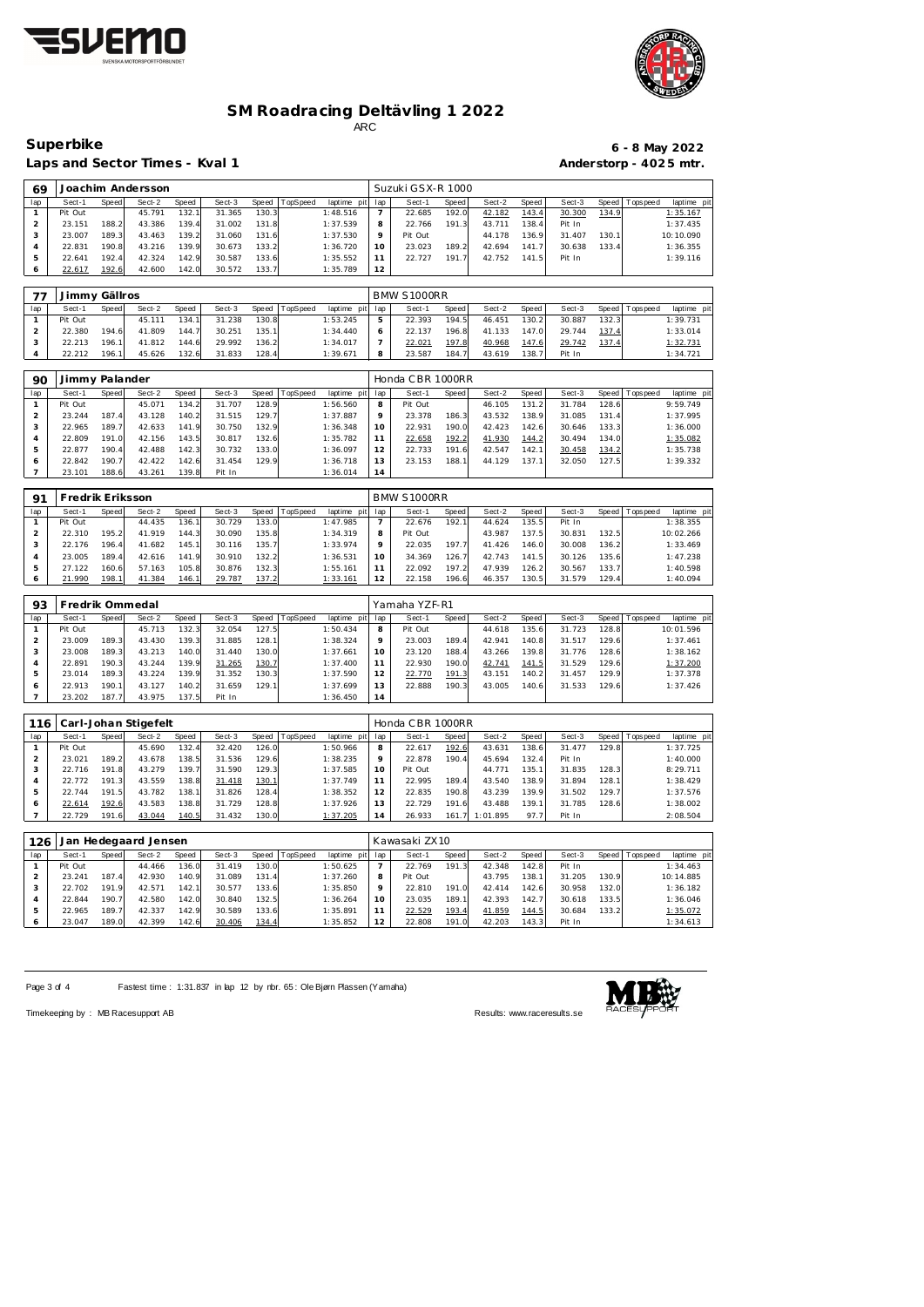



 $\overline{\phantom{a}}$ 

 $\blacksquare$ 

Laps and Sector Times - Kval 1 **Anderstorp - 4025 mtr.** 

23.101 188.6 43.261 139.8 Pit In 1:36.014 **14**

# **Superbike 6 - 8 May 2022**

| 69             |                |       | Joachim Andersson |       |        |       |          |             |                | Suzuki GSX-R 1000 |       |        |       |        |       |             |             |
|----------------|----------------|-------|-------------------|-------|--------|-------|----------|-------------|----------------|-------------------|-------|--------|-------|--------|-------|-------------|-------------|
| lap            | Sect-1         | Speed | Sect-2            | Speed | Sect-3 | Speed | TopSpeed | laptime pit | lap            | Sect-1            | Speed | Sect-2 | Speed | Sect-3 | Speed | Tops pee d  | laptime pit |
| 1              | Pit Out        |       | 45.791            | 132.1 | 31.365 | 130.3 |          | 1:48.516    | $\overline{7}$ | 22.685            | 192.0 | 42.182 | 143.4 | 30.300 | 134.9 |             | 1:35.167    |
| 2              | 23.151         | 188.2 | 43.386            | 139.4 | 31.002 | 131.8 |          | 1:37.539    | 8              | 22.766            | 191.3 | 43.711 | 138.4 | Pit In |       |             | 1:37.435    |
| 3              | 23.007         | 189.3 | 43.463            | 139.2 | 31.060 | 131.6 |          | 1:37.530    | $\mathsf{Q}$   | Pit Out           |       | 44.178 | 136.9 | 31.407 | 130.1 |             | 10:10.090   |
| $\overline{4}$ | 22.831         | 190.8 | 43.216            | 139.9 | 30.673 | 133.2 |          | 1:36.720    | 10             | 23.023            | 189.2 | 42.694 | 141.7 | 30.638 | 133.4 |             | 1:36.355    |
| 5              | 22.641         | 192.4 | 42.324            | 142.9 | 30.587 | 133.6 |          | 1:35.552    | 11             | 22.727            | 191.7 | 42.752 | 141.5 | Pit In |       |             | 1:39.116    |
| 6              | 22.617         | 192.6 | 42.600            | 142.0 | 30.572 | 133.7 |          | 1:35.789    | 12             |                   |       |        |       |        |       |             |             |
|                |                |       |                   |       |        |       |          |             |                |                   |       |        |       |        |       |             |             |
| 77             | Jimmy Gällros  |       |                   |       |        |       |          |             |                | BMW S1000RR       |       |        |       |        |       |             |             |
| lap            | Sect-1         | Speed | Sect-2            | Speed | Sect-3 | Speed | TopSpeed | laptime pit | lap            | Sect-1            | Speed | Sect-2 | Speed | Sect-3 | Speed | T ops pee d | laptime pit |
|                | Pit Out        |       | 45.111            | 134.1 | 31.238 | 130.8 |          | 1:53.245    | 5              | 22.393            | 194.5 | 46.451 | 130.2 | 30.887 | 132.3 |             | 1:39.731    |
| 2              | 22.380         | 194.6 | 41.809            | 144.7 | 30.251 | 135.1 |          | 1:34.440    | 6              | 22.137            | 196.8 | 41.133 | 147.0 | 29.744 | 137.4 |             | 1:33.014    |
| 3              | 22.213         | 196.1 | 41.812            | 144.6 | 29.992 | 136.2 |          | 1:34.017    |                | 22.021            | 197.8 | 40.968 | 147.6 | 29.742 | 137.4 |             | 1:32.731    |
| 4              | 22.212         | 196.1 | 45.626            | 132.6 | 31.833 | 128.4 |          | 1:39.671    | 8              | 23.587            | 184.7 | 43.619 | 138.7 | Pit In |       |             | 1:34.721    |
|                |                |       |                   |       |        |       |          |             |                |                   |       |        |       |        |       |             |             |
| 90             | Jimmy Palander |       |                   |       |        |       |          |             |                | Honda CBR 1000RR  |       |        |       |        |       |             |             |
| lap            | Sect-1         | Speed | Sect-2            | Speed | Sect-3 | Speed | TopSpeed | laptime pit | lap            | Sect-1            | Speed | Sect-2 | Speed | Sect-3 | Speed | Tops peed   | laptime pit |
| 1              | Pit Out        |       | 45.071            | 134.2 | 31.707 | 128.9 |          | 1:56.560    | 8              | Pit Out           |       | 46.105 | 131.2 | 31.784 | 128.6 |             | 9:59.749    |
| 2              | 23.244         | 187.4 | 43.128            | 140.2 | 31.515 | 129.7 |          | 1:37.887    | 9              | 23.378            | 186.3 | 43.532 | 138.9 | 31.085 | 131.4 |             | 1:37.995    |
| 3              | 22.965         | 189.7 | 42.633            | 141.9 | 30.750 | 132.9 |          | 1:36.348    | 10             | 22.931            | 190.0 | 42.423 | 142.6 | 30.646 | 133.3 |             | 1:36.000    |
| 4              | 22.809         | 191.0 | 42.156            | 143.5 | 30.817 | 132.6 |          | 1:35.782    | 11             | 22.658            | 192.2 | 41.930 | 144.2 | 30.494 | 134.0 |             | 1:35.082    |
| 5              | 22.877         | 190.4 | 42.488            | 142.3 | 30.732 | 133.0 |          | 1:36.097    | 12             | 22.733            | 191.6 | 42.547 | 142.1 | 30.458 | 134.2 |             | 1:35.738    |
| 6              | 22.842         | 190.7 | 42.422            | 142.6 | 31.454 | 129.9 |          | 1:36.718    | 13             | 23.153            | 188.1 | 44.129 | 137.1 | 32.050 | 127.5 |             | 1:39.332    |

| Q1      | Fredrik Eriksson |              |        |               |        |       |                 |                |     | BMW S1000RR |       |        |       |        |       |           |             |
|---------|------------------|--------------|--------|---------------|--------|-------|-----------------|----------------|-----|-------------|-------|--------|-------|--------|-------|-----------|-------------|
| lap     | Sect-1           | <b>Speed</b> | Sect-2 | Speed         | Sect-3 | Speed | <b>TopSpeed</b> | laptime<br>pit | lap | Sect-1      | Speed | Sect-2 | Speed | Sect-3 | Speed | Tops peed | laptime pit |
|         | Pit Out          |              | 44.435 | 136.1         | 30.729 | 133.0 |                 | 1:47.985       |     | 22.676      | 192.1 | 44.624 | 135.5 | Pit In |       |           | 1:38.355    |
|         | 22.310           | 195.2        | 41.919 | 144.3         | 30.090 | 135.8 |                 | 1:34.319       | 8   | Pit Out     |       | 43.987 | 137.5 | 30.831 | 132.5 |           | 10:02.266   |
|         | 22.176           | 196.4        | 41.682 | 145.1         | 30.116 | 135.7 |                 | 1:33.974       |     | 22.035      | 197.7 | 41.426 | 146.0 | 30.008 | 136.2 |           | 1:33.469    |
|         | 23.005           | 189.4        | 42.616 | 141.9         | 30.910 | 132.2 |                 | 1:36.531       | 10  | 34.369      | 126.7 | 42.743 | 141.5 | 30.126 | 135.6 |           | 1:47.238    |
| ь       | 27.122           | 160.6        | 57.163 | 105.8         | 30.876 | 132.3 |                 | 1:55.161       |     | 22.092      | 197.2 | 47.939 | 126.2 | 30.567 | 133.7 |           | 1:40.598    |
| $\circ$ | 21.990           | 198.1        | 41.384 | <u> 146.1</u> | 29.787 | 137.2 |                 | 1:33.161       | 12  | 22.158      | 196.6 | 46.357 | 130.5 | 31.579 | 129.4 |           | 1:40.094    |

<u>i l</u>

| 93  | Fredrik Ommedal |       |        |       |        |               |          |             |     | Yamaha YZF-R1 |       |        |        |        |       |                                  |  |
|-----|-----------------|-------|--------|-------|--------|---------------|----------|-------------|-----|---------------|-------|--------|--------|--------|-------|----------------------------------|--|
| lap | Sect-1          | Speed | Sect-2 | Speed | Sect-3 | Speed         | TopSpeed | laptime pit | lap | Sect-1        | Speed | Sect-2 | Speed  | Sect-3 |       | Speed   Tops peed<br>laptime pit |  |
|     | Pit Out         |       | 45.713 | 132.3 | 32.054 | 127.5         |          | 1:50.434    | 8   | Pit Out       |       | 44.618 | 135.61 | 31.723 | 128.8 | 10:01.596                        |  |
|     | 23.009          | 189.3 | 43.430 | 139.3 | 31.885 | 128.1         |          | 1:38.324    | Q   | 23.003        | 189.4 | 42.941 | 140.8  | 31.517 | 129.6 | 1:37.461                         |  |
| З   | 23.008          | 189.3 | 43.213 | 140.0 | 31.440 | 130.0         |          | 1:37.661    | 10  | 23.120        | 188.4 | 43.266 | 139.8  | 31.776 | 128.6 | 1:38.162                         |  |
|     | 22.891          | 190.3 | 43.244 | 139.9 | 31.265 | <u> 130.7</u> |          | 1:37.400    | 11  | 22.930        | 190.0 | 42.741 | 141.5  | 31.529 | 129.6 | 1:37.200                         |  |
| 5   | 23.014          | 189.3 | 43.224 | 139.9 | 31.352 | 130.3         |          | 1:37.590    | 12  | 22.770        | 191.3 | 43.151 | 140.2  | 31.457 | 129.9 | 1:37.378                         |  |
| 6   | 22.913          | 190.1 | 43.127 | 140.2 | 31.659 | 129.1         |          | 1:37.699    | 13  | 22.888        | 190.3 | 43.005 | 140.6  | 31.533 | 129.6 | 1:37.426                         |  |
|     | 23.202          | 187.7 | 43.975 | 137.5 | Pit In |               |          | 1:36.450    | 14  |               |       |        |        |        |       |                                  |  |

| 116 |         |       | Carl-Johan Stigefelt |       |        |       |          |                 |         | Honda CBR 1000RR |         |                |       |        |       |                 |             |
|-----|---------|-------|----------------------|-------|--------|-------|----------|-----------------|---------|------------------|---------|----------------|-------|--------|-------|-----------------|-------------|
| lap | Sect-1  | Speed | Sect-2               | Speed | Sect-3 | Speed | TopSpeed | laptime pit lap |         | Sect-1           | Speed I | Sect-2         | Speed | Sect-3 |       | Speed Tops peed | laptime pit |
|     | Pit Out |       | 45.690               | 132.4 | 32.420 | 126.0 |          | 1:50.966        | 8       | 22.617           | 192.6   | 43.631         | 138.6 | 31.477 | 129.8 |                 | 1:37.725    |
|     | 23.021  | 189.2 | 43.678               | 138.5 | 31.536 | 129.6 |          | 1:38.235        | $\circ$ | 22.878           | 190.4   | 45.694         | 132.4 | Pit In |       |                 | 1:40.000    |
|     | 22.716  | 191.8 | 43.279               | 139.7 | 31.590 | 129.3 |          | 1:37.585        | 10      | Pit Out          |         | 44.771         | 135.1 | 31.835 | 128.3 |                 | 8:29.711    |
|     | 22.772  | 191.3 | 43.559               | 138.8 | 31.418 | 130.1 |          | 1:37.749        |         | 22.995           | 189.4   | 43.540         | 138.9 | 31.894 | 128.1 |                 | 1:38.429    |
| 5   | 22.744  | 191.5 | 43.782               | 138.1 | 31.826 | 128.4 |          | 1:38.352        | 12      | 22.835           | 190.8   | 43.239         | 139.9 | 31.502 | 129.7 |                 | 1:37.576    |
| 6   | 22.614  | 192.6 | 43.583               | 138.8 | 31.729 | 128.8 |          | 1:37.926        | 13      | 22.729           | 191.6   | 43.488         | 139.1 | 31.785 | 128.6 |                 | 1:38.002    |
|     | 22.729  | 191.6 | 43.044               | 140.5 | 31.432 | 130.0 |          | 1:37.205        | 14      | 26.933           |         | 161.7 1:01.895 | 97.7  | Pit In |       |                 | 2:08.504    |

| 126 | Jan     |              | Hedegaard Jensen |       |        |       |          |                 |         | Kawasaki ZX10 |              |        |       |        |       |                 |             |
|-----|---------|--------------|------------------|-------|--------|-------|----------|-----------------|---------|---------------|--------------|--------|-------|--------|-------|-----------------|-------------|
| lap | Sect-1  | <b>Speed</b> | Sect-2           | Speed | Sect-3 | Speed | TopSpeed | laptime pit lap |         | Sect-1        | <b>Speed</b> | Sect-2 | Speed | Sect-3 |       | Speed Tops peed | laptime pit |
|     | Pit Out |              | 44.466           | 136.0 | 31.419 | 130.0 |          | 1:50.625        |         | 22.769        | 191.3        | 42.348 | 142.8 | Pit In |       |                 | 1:34.463    |
|     | 23.241  | 187.4        | 42.930           | 140.9 | 31.089 | 131.4 |          | 1:37.260        | 8       | Pit Out       |              | 43.795 | 138.1 | 31.205 | 130.9 |                 | 10:14.885   |
|     | 22.702  | 191.9        | 42.571           | 142.1 | 30.577 | 133.6 |          | 1:35.850        | $\circ$ | 22.810        | 191.0        | 42.414 | 142.6 | 30.958 | 132.0 |                 | 1:36.182    |
|     | 22.844  | 190.7        | 42.580           | 142.0 | 30.840 | 132.5 |          | 1:36.264        | 10      | 23.035        | 189.1        | 42.393 | 142.7 | 30.618 | 133.5 |                 | 1:36.046    |
| h   | 22.965  | 189.7        | 42.337           | 142.9 | 30.589 | 133.6 |          | 1:35.891        |         | 22.529        | 193.4        | 41.859 | 144.5 | 30.684 | 133.2 |                 | 1:35.072    |
| O   | 23.047  | 189.0        | 42.399           | 142.6 | 30.406 | 134.4 |          | 1:35.852        | 12      | 22.808        | 191.0        | 42.203 | 143.3 | Pit In |       |                 | 1:34.613    |

Page 3 of 4 Fastest time : 1:31.837 in lap 12 by nbr. 65 : Ole Bjørn Plassen (Yamaha)



Timekeeping by : MB Racesupport AB Results:<www.raceresults.se>